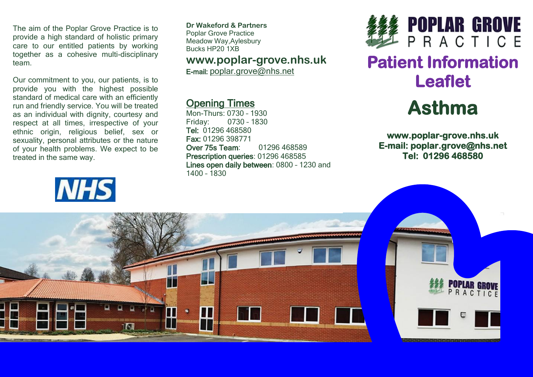The aim of the Poplar Grove Practice is to provide a high standard of holistic primary care to our entitled patients by working together as a cohesive multi-disciplinary team.

Our commitment to you, our patients, is to provide you with the highest possible standard of medical care with an efficiently run and friendly service. You will be treated as an individual with dignity, courtesy and respect at all times, irrespective of your ethnic origin, religious belief, sex or sexuality, personal attributes or the nature of your health problems. We expect to be treated in the same way.



**Dr Wakeford & Partners** Poplar Grove Practice Meadow Way,Aylesbury Bucks HP20 1XB

## **www.poplar-grove.nhs.uk**

E-mail: [poplar.grove@nhs.net](mailto:poplar.grove@nhs.net)

# Opening Times

Mon-Thurs: 0730 – 1930 Friday: 0730 – 1830 Tel: 01296 468580 Fax: 01296 398771 Over 75s Team: 01296 468589 Prescription queries: 01296 468585 Lines open daily between: 0800 – 1230 and 1400 – 1830



# **Patient Information Leaflet**



**www.poplar-grove.nhs.uk E-mail: poplar.grove@nhs.net Tel: 01296 468580**